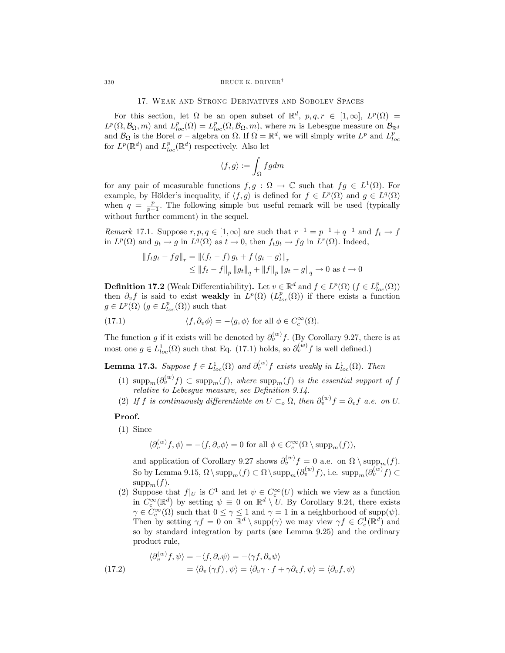# 17. Weak and Strong Derivatives and Sobolev Spaces

For this section, let  $\Omega$  be an open subset of  $\mathbb{R}^d$ ,  $p, q, r \in [1, \infty]$ ,  $L^p(\Omega) =$  $L^p(\Omega, \mathcal{B}_{\Omega}, m)$  and  $L^p_{loc}(\Omega) = L^p_{loc}(\Omega, \mathcal{B}_{\Omega}, m)$ , where m is Lebesgue measure on  $\mathcal{B}_{\mathbb{R}^d}$ and  $\mathcal{B}_{\Omega}$  is the Borel  $\sigma$  – algebra on  $\Omega$ . If  $\Omega = \mathbb{R}^d$ , we will simply write  $L^p$  and  $L^p_{loc}$ for  $L^p(\mathbb{R}^d)$  and  $L^p_{loc}(\mathbb{R}^d)$  respectively. Also let

$$
\langle f,g\rangle:=\int_\Omega fg dm
$$

for any pair of measurable functions  $f,g : \Omega \to \mathbb{C}$  such that  $fg \in L^1(\Omega)$ . For example, by Hölder's inequality, if  $\langle f, g \rangle$  is defined for  $f \in L^p(\Omega)$  and  $g \in L^q(\Omega)$ when  $q = \frac{p}{p-1}$ . The following simple but useful remark will be used (typically without further comment) in the sequel.

Remark 17.1. Suppose  $r, p, q \in [1,\infty]$  are such that  $r^{-1} = p^{-1} + q^{-1}$  and  $f_t \to f$ in  $L^p(\Omega)$  and  $g_t \to g$  in  $L^q(\Omega)$  as  $t \to 0$ , then  $f_t g_t \to fg$  in  $L^r(\Omega)$ . Indeed,

$$
|| f_t g_t - f g ||_r = || (f_t - f) g_t + f (g_t - g) ||_r
$$
  
\n
$$
\leq || f_t - f ||_p ||g_t ||_q + || f ||_p ||g_t - g||_q \to 0 \text{ as } t \to 0
$$

**Definition 17.2** (Weak Differentiability). Let  $v \in \mathbb{R}^d$  and  $f \in L^p(\Omega)$  ( $f \in L^p_{loc}(\Omega)$ ) then  $\partial_v f$  is said to exist weakly in  $L^p(\Omega)$  ( $L^p_{loc}(\Omega)$ ) if there exists a function  $g \in L^p(\Omega)$   $(g \in L^p_{loc}(\Omega))$  such that

(17.1) 
$$
\langle f, \partial_v \phi \rangle = -\langle g, \phi \rangle \text{ for all } \phi \in C_c^{\infty}(\Omega).
$$

The function g if it exists will be denoted by  $\partial_v^{(w)} f$ . (By Corollary 9.27, there is at most one  $g \in L^1_{loc}(\Omega)$  such that Eq. (17.1) holds, so  $\partial_v^{(w)} f$  is well defined.)

**Lemma 17.3.** Suppose  $f \in L^1_{loc}(\Omega)$  and  $\partial_v^{(w)} f$  exists weakly in  $L^1_{loc}(\Omega)$ . Then

- (1)  $\text{supp}_m(\partial_v^{(w)}f) \subset \text{supp}_m(f)$ , where  $\text{supp}_m(f)$  is the essential support of f relative to Lebesgue measure, see Definition 9.14.
- (2) If f is continuously differentiable on  $U \subset_o \Omega$ , then  $\partial_v^{(w)} f = \partial_v f$  a.e. on U.

#### Proof.

(1) Since

$$
\langle \partial_v^{(w)} f, \phi \rangle = -\langle f, \partial_v \phi \rangle = 0 \text{ for all } \phi \in C_c^{\infty}(\Omega \setminus \text{supp}_m(f)),
$$

and application of Corollary 9.27 shows  $\partial_v^{(w)} f = 0$  a.e. on  $\Omega \setminus {\rm supp}_m(f)$ . So by Lemma 9.15,  $\Omega \setminus \text{supp}_m(f) \subset \Omega \setminus \text{supp}_m(\partial_v^{(w)} f)$ , i.e.  $\text{supp}_m(\partial_v^{(w)} f) \subset$  $supp_m(f)$ .

(2) Suppose that  $f|_U$  is  $C^1$  and let  $\psi \in C_c^{\infty}(U)$  which we view as a function in  $C_c^{\infty}(\mathbb{R}^d)$  by setting  $\psi \equiv 0$  on  $\mathbb{R}^d \setminus U$ . By Corollary 9.24, there exists  $\gamma \in C_c^{\infty}(\Omega)$  such that  $0 \leq \gamma \leq 1$  and  $\gamma = 1$  in a neighborhood of supp $(\psi)$ . Then by setting  $\gamma f = 0$  on  $\mathbb{R}^d \setminus \text{supp}(\gamma)$  we may view  $\gamma f \in C_c^1(\mathbb{R}^d)$  and so by standard integration by parts (see Lemma 9.25) and the ordinary product rule,

(17.2)  
\n
$$
\langle \partial_v^{(w)} f, \psi \rangle = -\langle f, \partial_v \psi \rangle = -\langle \gamma f, \partial_v \psi \rangle
$$
\n
$$
= \langle \partial_v (\gamma f), \psi \rangle = \langle \partial_v \gamma \cdot f + \gamma \partial_v f, \psi \rangle = \langle \partial_v f, \psi \rangle
$$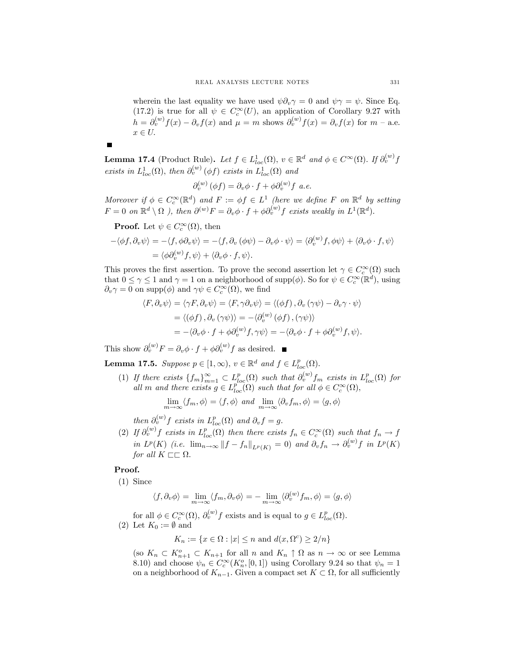wherein the last equality we have used  $\psi \partial_{\nu} \gamma = 0$  and  $\psi \gamma = \psi$ . Since Eq. (17.2) is true for all  $\psi \in C_c^{\infty}(U)$ , an application of Corollary 9.27 with  $h = \partial_v^{(w)} f(x) - \partial_v f(x)$  and  $\mu = m$  shows  $\partial_v^{(w)} f(x) = \partial_v f(x)$  for  $m - a.e$ .  $x \in U$ .

**Lemma 17.4** (Product Rule). Let  $f \in L^1_{loc}(\Omega)$ ,  $v \in \mathbb{R}^d$  and  $\phi \in C^{\infty}(\Omega)$ . If  $\partial_v^{(w)} f$ exists in  $L_{loc}^1(\Omega)$ , then  $\partial_v^{(w)}(\phi f)$  exists in  $L_{loc}^1(\Omega)$  and

$$
\partial_v^{(w)}(\phi f) = \partial_v \phi \cdot f + \phi \partial_v^{(w)} f \ a.e.
$$

Moreover if  $\phi \in C_c^{\infty}(\mathbb{R}^d)$  and  $F := \phi f \in L^1$  (here we define F on  $\mathbb{R}^d$  by setting  $F = 0$  on  $\mathbb{R}^d \setminus \Omega$  ), then  $\partial^{(w)}F = \partial_v \phi \cdot f + \phi \partial_v^{(w)}f$  exists weakly in  $L^1(\mathbb{R}^d)$ .

**Proof.** Let  $\psi \in C_c^{\infty}(\Omega)$ , then

 $\blacksquare$ 

$$
-\langle \phi f, \partial_v \psi \rangle = -\langle f, \phi \partial_v \psi \rangle = -\langle f, \partial_v (\phi \psi) - \partial_v \phi \cdot \psi \rangle = \langle \partial_v^{(w)} f, \phi \psi \rangle + \langle \partial_v \phi \cdot f, \psi \rangle
$$
  
=  $\langle \phi \partial_v^{(w)} f, \psi \rangle + \langle \partial_v \phi \cdot f, \psi \rangle.$ 

This proves the first assertion. To prove the second assertion let  $\gamma \in C_c^{\infty}(\Omega)$  such that  $0 \leq \gamma \leq 1$  and  $\gamma = 1$  on a neighborhood of supp $(\phi)$ . So for  $\psi \in C_c^{\infty}(\mathbb{R}^d)$ , using  $\partial_v \gamma = 0$  on supp $(\phi)$  and  $\gamma \psi \in C_c^{\infty}(\Omega)$ , we find

$$
\langle F, \partial_v \psi \rangle = \langle \gamma F, \partial_v \psi \rangle = \langle F, \gamma \partial_v \psi \rangle = \langle (\phi f), \partial_v (\gamma \psi) - \partial_v \gamma \cdot \psi \rangle
$$
  
=  $\langle (\phi f), \partial_v (\gamma \psi) \rangle = -\langle \partial_v^{\langle w \rangle} (\phi f), (\gamma \psi) \rangle$   
=  $-\langle \partial_v \phi \cdot f + \phi \partial_v^{\langle w \rangle} f, \gamma \psi \rangle = -\langle \partial_v \phi \cdot f + \phi \partial_v^{\langle w \rangle} f, \psi \rangle.$ 

This show  $\partial_v^{(w)} F = \partial_v \phi \cdot f + \phi \partial_v^{(w)} f$  as desired.

**Lemma 17.5.** Suppose  $p \in [1, \infty)$ ,  $v \in \mathbb{R}^d$  and  $f \in L_{loc}^p(\Omega)$ .

(1) If there exists  ${f_m}_{m=1}^{\infty} \subset L_{loc}^p(\Omega)$  such that  $\partial_v^{(w)} f_m$  exists in  $L_{loc}^p(\Omega)$  for all m and there exists  $g \in L_{loc}^{p^{\infty}}(\Omega)$  such that for all  $\phi \in C_c^{\infty}(\Omega)$ ,

 $\lim_{m\to\infty} \langle f_m, \phi \rangle = \langle f, \phi \rangle$  and  $\lim_{m\to\infty} \langle \partial_v f_m, \phi \rangle = \langle g, \phi \rangle$ 

then  $\partial_v^{(w)}f$  exists in  $L_{loc}^p(\Omega)$  and  $\partial_v f = g$ .

(2) If  $\partial_v^{(w)} f$  exists in  $L_{loc}^p(\Omega)$  then there exists  $f_n \in C_c^{\infty}(\Omega)$  such that  $f_n \to f$ in  $L^p(K)$  (i.e.  $\lim_{n\to\infty} ||f - f_n||_{L^p(K)} = 0$ ) and  $\partial_v f_n \to \partial_v^{(w)} f$  in  $L^p(K)$ for all  $K \sqsubset \sqsubset \Omega$ .

#### Proof.

(1) Since

$$
\langle f, \partial_v \phi \rangle = \lim_{m \to \infty} \langle f_m, \partial_v \phi \rangle = - \lim_{m \to \infty} \langle \partial_v^{(w)} f_m, \phi \rangle = \langle g, \phi \rangle
$$

for all  $\phi \in C_c^{\infty}(\Omega)$ ,  $\partial_v^{(w)} f$  exists and is equal to  $g \in L_{loc}^p(\Omega)$ .

(2) Let  $K_0 := \emptyset$  and

$$
K_n:=\{x\in\Omega: |x|\leq n \text{ and } d(x,\Omega^c)\geq 2/n\}
$$

(so  $K_n \subset K_{n+1}^o \subset K_{n+1}$  for all n and  $K_n \uparrow \Omega$  as  $n \to \infty$  or see Lemma 8.10) and choose  $\psi_n \in C_c^{\infty}(K_n^o, [0, 1])$  using Corollary 9.24 so that  $\psi_n = 1$ on a neighborhood of  $K_{n-1}$ . Given a compact set  $K \subset \Omega$ , for all sufficiently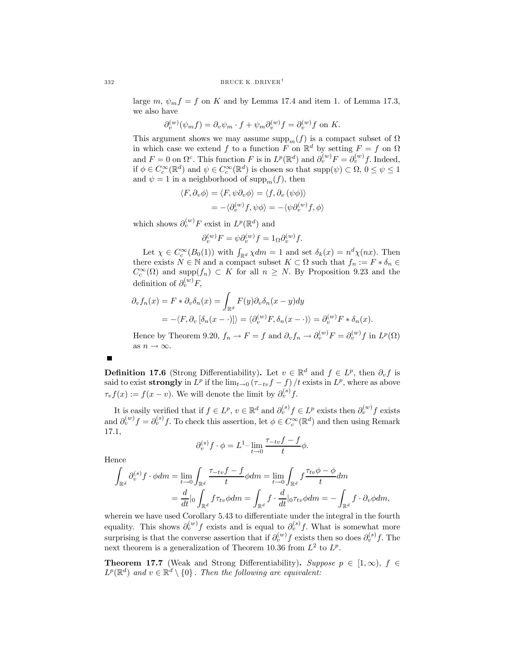large m,  $\psi_m f = f$  on K and by Lemma 17.4 and item 1. of Lemma 17.3, we also have

$$
\partial_v^{(w)}(\psi_m f) = \partial_v \psi_m \cdot f + \psi_m \partial_v^{(w)} f = \partial_v^{(w)} f
$$
 on K.

This argument shows we may assume  $\text{supp}_m(f)$  is a compact subset of  $\Omega$ in which case we extend f to a function F on  $\mathbb{R}^d$  by setting  $F = f$  on  $\Omega$ and  $F = 0$  on  $\Omega^c$ . This function F is in  $L^p(\mathbb{R}^d)$  and  $\partial_v^{(w)}F = \partial_v^{(w)}f$ . Indeed, if  $\phi \in C_c^{\infty}(\mathbb{R}^d)$  and  $\psi \in C_c^{\infty}(\mathbb{R}^d)$  is chosen so that  $\text{supp}(\psi) \subset \Omega$ ,  $0 \le \psi \le 1$ and  $\psi = 1$  in a neighborhood of supp<sub>m</sub> $(f)$ , then

$$
\langle F, \partial_v \phi \rangle = \langle F, \psi \partial_v \phi \rangle = \langle f, \partial_v (\psi \phi) \rangle
$$
  
=  $-\langle \partial_v^{(w)} f, \psi \phi \rangle = -\langle \psi \partial_v^{(w)} f, \phi \rangle$ 

which shows  $\partial_{v}^{(w)}F$  exist in  $L^{p}(\mathbb{R}^{d})$  and

$$
\partial_v^{(w)} F = \psi \partial_v^{(w)} f = 1_{\Omega} \partial_v^{(w)} f.
$$

Let  $\chi \in C_c^{\infty}(B_0(1))$  with  $\int_{\mathbb{R}^d} \chi dm = 1$  and set  $\delta_k(x) = n^d \chi(nx)$ . Then there exists  $N \in \mathbb{N}$  and a compact subset  $K \subset \Omega$  such that  $f_n := F * \delta_n \in$  $C_c^{\infty}(\Omega)$  and supp $(f_n) \subset K$  for all  $n \geq N$ . By Proposition 9.23 and the definition of  $\partial_v^{(w)} F$ ,

$$
\partial_v f_n(x) = F * \partial_v \delta_n(x) = \int_{\mathbb{R}^d} F(y) \partial_v \delta_n(x - y) dy
$$
  
= -\langle F, \partial\_v [\delta\_n(x - \cdot)] \rangle = \langle \partial\_v^{(w)} F, \delta\_n(x - \cdot) \rangle = \partial\_v^{(w)} F \* \delta\_n(x).

Hence by Theorem 9.20,  $f_n \to F = f$  and  $\partial_v f_n \to \partial_v^{(w)} F = \partial_v^{(w)} f$  in  $L^p(\Omega)$ as  $n \to \infty$ .

 $\blacksquare$ 

**Definition 17.6** (Strong Differentiability). Let  $v \in \mathbb{R}^d$  and  $f \in L^p$ , then  $\partial_v f$  is said to exist strongly in  $L^p$  if the lim<sub>t→0</sub>  $(\tau_{-tv}f - f)/t$  exists in  $L^p$ , where as above  $\tau_v f(x) := f(x - v)$ . We will denote the limit by  $\partial_v^{(s)} f$ .

It is easily verified that if  $f \in L^p$ ,  $v \in \mathbb{R}^d$  and  $\partial_v^{(s)} f \in L^p$  exists then  $\partial_v^{(w)} f$  exists and  $\partial_v^{(w)} f = \partial_v^{(s)} f$ . To check this assertion, let  $\phi \in C_c^{\infty}(\mathbb{R}^d)$  and then using Remark 17.1,

$$
\partial_v^{(s)} f \cdot \phi = L^1 - \lim_{t \to 0} \frac{\tau_{-tv} f - f}{t} \phi.
$$

Hence

$$
\int_{\mathbb{R}^d} \partial_v^{(s)} f \cdot \phi dm = \lim_{t \to 0} \int_{\mathbb{R}^d} \frac{\tau_{-tv} f - f}{t} \phi dm = \lim_{t \to 0} \int_{\mathbb{R}^d} f \frac{\tau_{tv} \phi - \phi}{t} dm
$$

$$
= \frac{d}{dt} \Big|_{0} \int_{\mathbb{R}^d} f \tau_{tv} \phi dm = \int_{\mathbb{R}^d} f \cdot \frac{d}{dt} \Big|_{0} \tau_{tv} \phi dm = - \int_{\mathbb{R}^d} f \cdot \partial_v \phi dm,
$$

wherein we have used Corollary 5.43 to differentiate under the integral in the fourth equality. This shows  $\partial_v^{(w)} f$  exists and is equal to  $\partial_v^{(s)} f$ . What is somewhat more surprising is that the converse assertion that if  $\partial_{v}^{(w)} f$  exists then so does  $\partial_{v}^{(s)} f$ . The next theorem is a generalization of Theorem 10.36 from  $L^2$  to  $L^p$ .

**Theorem 17.7** (Weak and Strong Differentiability). Suppose  $p \in [1,\infty)$ ,  $f \in$  $L^p(\mathbb{R}^d)$  and  $v \in \mathbb{R}^d \setminus \{0\}$ . Then the following are equivalent: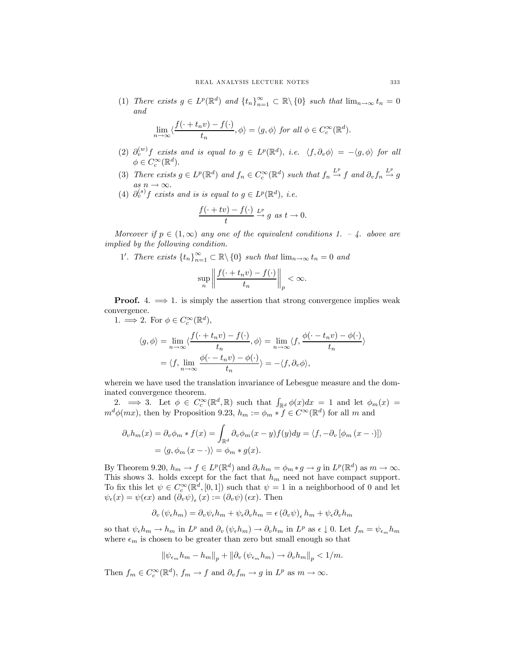(1) There exists  $g \in L^p(\mathbb{R}^d)$  and  $\{t_n\}_{n=1}^{\infty} \subset \mathbb{R} \setminus \{0\}$  such that  $\lim_{n \to \infty} t_n = 0$ and

$$
\lim_{n \to \infty} \langle \frac{f(\cdot + t_n v) - f(\cdot)}{t_n}, \phi \rangle = \langle g, \phi \rangle \text{ for all } \phi \in C_c^{\infty}(\mathbb{R}^d).
$$

- (2)  $\partial_v^{(w)} f$  exists and is equal to  $g \in L^p(\mathbb{R}^d)$ , i.e.  $\langle f, \partial_v \phi \rangle = -\langle g, \phi \rangle$  for all  $\phi \in C_c^{\infty}(\mathbb{R}^d).$
- (3) There exists  $g \in L^p(\mathbb{R}^d)$  and  $f_n \in C_c^{\infty}(\mathbb{R}^d)$  such that  $f_n \stackrel{L^p}{\to} f$  and  $\partial_v f_n \stackrel{L^p}{\to} g$  $\underset{\circ}{as} n \to \infty.$
- (4)  $\partial_v^{(s)} f$  exists and is is equal to  $g \in L^p(\mathbb{R}^d)$ , i.e.

$$
\frac{f(\cdot + tv) - f(\cdot)}{t} \xrightarrow{L^p} g \text{ as } t \to 0.
$$

Moreover if  $p \in (1,\infty)$  any one of the equivalent conditions 1. – 4. above are implied by the following condition.

1'. There exists  $\{t_n\}_{n=1}^{\infty} \subset \mathbb{R} \backslash \{0\}$  such that  $\lim_{n \to \infty} t_n = 0$  and

$$
\sup_{n}\left\|\frac{f(\cdot+t_nv)-f(\cdot)}{t_n}\right\|_p<\infty.
$$

**Proof.** 4.  $\implies$  1. is simply the assertion that strong convergence implies weak convergence.

1.  $\implies$  2. For  $\phi \in C_c^{\infty}(\mathbb{R}^d)$ ,

$$
\langle g, \phi \rangle = \lim_{n \to \infty} \langle \frac{f(\cdot + t_n v) - f(\cdot)}{t_n}, \phi \rangle = \lim_{n \to \infty} \langle f, \frac{\phi(\cdot - t_n v) - \phi(\cdot)}{t_n} \rangle
$$

$$
= \langle f, \lim_{n \to \infty} \frac{\phi(\cdot - t_n v) - \phi(\cdot)}{t_n} \rangle = -\langle f, \partial_v \phi \rangle,
$$

wherein we have used the translation invariance of Lebesgue measure and the dominated convergence theorem.

2.  $\Rightarrow$  3. Let  $\phi \in C_c^{\infty}(\mathbb{R}^d, \mathbb{R})$  such that  $\int_{\mathbb{R}^d} \phi(x) dx = 1$  and let  $\phi_m(x) =$  $m^d\phi(mx)$ , then by Proposition 9.23,  $h_m := \phi_m * f \in C^\infty(\mathbb{R}^d)$  for all m and

$$
\partial_v h_m(x) = \partial_v \phi_m * f(x) = \int_{\mathbb{R}^d} \partial_v \phi_m(x - y) f(y) dy = \langle f, -\partial_v [\phi_m (x - \cdot)] \rangle
$$

$$
= \langle g, \phi_m (x - \cdot) \rangle = \phi_m * g(x).
$$

By Theorem 9.20,  $h_m \to f \in L^p(\mathbb{R}^d)$  and  $\partial_v h_m = \phi_m * g \to g$  in  $L^p(\mathbb{R}^d)$  as  $m \to \infty$ . This shows 3. holds except for the fact that  $h_m$  need not have compact support. To fix this let  $\psi \in C_c^{\infty}(\mathbb{R}^d, [0,1])$  such that  $\psi = 1$  in a neighborhood of 0 and let  $\psi_{\epsilon}(x) = \psi(\epsilon x)$  and  $(\partial_v \psi)_{\epsilon}(x) := (\partial_v \psi)(\epsilon x)$ . Then

$$
\partial_v (\psi_{\epsilon} h_m) = \partial_v \psi_{\epsilon} h_m + \psi_{\epsilon} \partial_v h_m = \epsilon (\partial_v \psi)_{\epsilon} h_m + \psi_{\epsilon} \partial_v h_m
$$

so that  $\psi_{\epsilon}h_m \to h_m$  in  $L^p$  and  $\partial_v(\psi_{\epsilon}h_m) \to \partial_v h_m$  in  $L^p$  as  $\epsilon \downarrow 0$ . Let  $f_m = \psi_{\epsilon_m}h_m$ where  $\epsilon_m$  is chosen to be greater than zero but small enough so that

$$
\left\|\psi_{\epsilon_m}h_m - h_m\right\|_p + \left\|\partial_v\left(\psi_{\epsilon_m}h_m\right) \to \partial_v h_m\right\|_p < 1/m.
$$

Then  $f_m \in C_c^{\infty}(\mathbb{R}^d)$ ,  $f_m \to f$  and  $\partial_v f_m \to g$  in  $L^p$  as  $m \to \infty$ .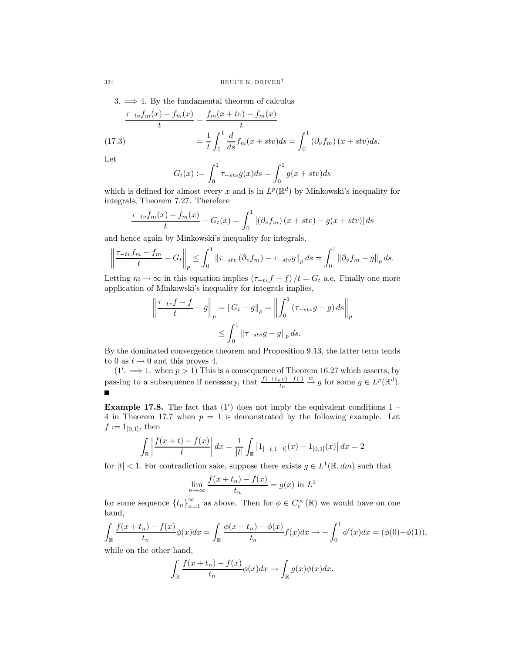3.  $\implies$  4. By the fundamental theorem of calculus

(17.3)  
\n
$$
\frac{\tau_{-tv}f_m(x) - f_m(x)}{t} = \frac{f_m(x + tv) - f_m(x)}{t}
$$
\n
$$
= \frac{1}{t} \int_0^1 \frac{d}{ds} f_m(x + stv) ds = \int_0^1 (\partial_v f_m)(x + stv) ds.
$$

Let

$$
G_t(x) := \int_0^1 \tau_{-stv} g(x) ds = \int_0^1 g(x+stv) ds
$$

which is defined for almost every x and is in  $L^p(\mathbb{R}^d)$  by Minkowski's inequality for integrals, Theorem 7.27. Therefore

$$
\frac{\tau_{-tv}f_m(x) - f_m(x)}{t} - G_t(x) = \int_0^1 \left[ \left( \partial_v f_m \right) \left( x + stv \right) - g(x + stv) \right] ds
$$

and hence again by Minkowski's inequality for integrals,

$$
\left\| \frac{\tau_{-tv}f_m - f_m}{t} - G_t \right\|_p \le \int_0^1 \left\| \tau_{-stv} \left( \partial_v f_m \right) - \tau_{-stv} g \right\|_p ds = \int_0^1 \left\| \partial_v f_m - g \right\|_p ds.
$$

Letting  $m \to \infty$  in this equation implies  $(\tau_{-tv}f - f)/t = G_t$  a.e. Finally one more application of Minkowski's inequality for integrals implies,

$$
\left\| \frac{\tau_{-tv}f - f}{t} - g \right\|_{p} = \left\| G_t - g \right\|_{p} = \left\| \int_{0}^{1} (\tau_{-stv}g - g) ds \right\|_{p}
$$
  

$$
\leq \int_{0}^{1} \left\| \tau_{-stv}g - g \right\|_{p} ds.
$$

By the dominated convergence theorem and Proposition 9.13, the latter term tends to 0 as  $t \to 0$  and this proves 4.

 $(1' \implies 1$ . when  $p > 1$ ) This is a consequence of Theorem 16.27 which asserts, by passing to a subsequence if necessary, that  $\frac{f(+t_n v)-f(\cdot)}{t_n}$  $\stackrel{w}{\rightarrow} g$  for some  $g \in L^p(\mathbb{R}^d)$ .

**Example 17.8.** The fact that  $(1')$  does not imply the equivalent conditions  $1$ 4 in Theorem 17.7 when  $p = 1$  is demonstrated by the following example. Let  $f := 1_{[0,1]}$ , then

$$
\int_{\mathbb{R}} \left| \frac{f(x+t) - f(x)}{t} \right| dx = \frac{1}{|t|} \int_{\mathbb{R}} |1_{[-t,1-t]}(x) - 1_{[0,1]}(x)| dx = 2
$$

for  $|t| < 1$ . For contradiction sake, suppose there exists  $g \in L^1(\mathbb{R}, dm)$  such that

$$
\lim_{n \to \infty} \frac{f(x+t_n) - f(x)}{t_n} = g(x) \text{ in } L^1
$$

for some sequence  $\{t_n\}_{n=1}^{\infty}$  as above. Then for  $\phi \in C_c^{\infty}(\mathbb{R})$  we would have on one hand,

$$
\int_{\mathbb{R}} \frac{f(x+t_n) - f(x)}{t_n} \phi(x) dx = \int_{\mathbb{R}} \frac{\phi(x-t_n) - \phi(x)}{t_n} f(x) dx \to -\int_0^1 \phi'(x) dx = (\phi(0) - \phi(1)),
$$

while on the other hand,

$$
\int_{\mathbb{R}} \frac{f(x+t_n) - f(x)}{t_n} \phi(x) dx \to \int_{\mathbb{R}} g(x) \phi(x) dx.
$$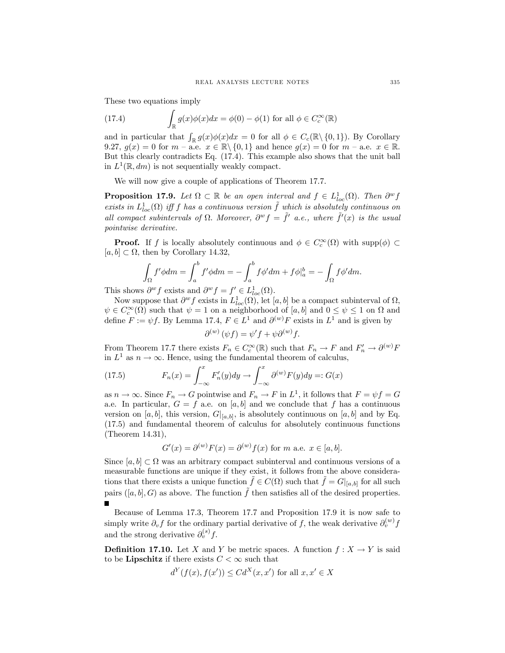These two equations imply

(17.4) 
$$
\int_{\mathbb{R}} g(x)\phi(x)dx = \phi(0) - \phi(1) \text{ for all } \phi \in C_c^{\infty}(\mathbb{R})
$$

and in particular that  $\int_{\mathbb{R}} g(x)\phi(x)dx = 0$  for all  $\phi \in C_c(\mathbb{R}\setminus\{0,1\})$ . By Corollary 9.27,  $g(x)=0$  for  $m - a.e.$   $x \in \mathbb{R} \setminus \{0,1\}$  and hence  $g(x)=0$  for  $m - a.e.$   $x \in \mathbb{R}$ . But this clearly contradicts Eq. (17.4). This example also shows that the unit ball in  $L^1(\mathbb{R}, dm)$  is not sequentially weakly compact.

We will now give a couple of applications of Theorem 17.7.

**Proposition 17.9.** Let  $\Omega \subset \mathbb{R}$  be an open interval and  $f \in L^{1}_{loc}(\Omega)$ . Then  $\partial^w f$ exists in  $L^1_{loc}(\Omega)$  iff f has a continuous version  $\tilde{f}$  which is absolutely continuous on all compact subintervals of  $\Omega$ . Moreover,  $\partial^w f = \tilde{f}'(a.e.,$  where  $\tilde{f}'(x)$  is the usual pointwise derivative.

**Proof.** If f is locally absolutely continuous and  $\phi \in C_c^{\infty}(\Omega)$  with supp $(\phi) \subset$  $[a, b] \subset \Omega$ , then by Corollary 14.32,

$$
\int_{\Omega} f' \phi dm = \int_{a}^{b} f' \phi dm = -\int_{a}^{b} f \phi' dm + f \phi|_{a}^{b} = -\int_{\Omega} f \phi' dm.
$$

This shows  $\partial^w f$  exists and  $\partial^w f = f' \in L^1_{loc}(\Omega)$ .

Now suppose that  $\partial^w f$  exists in  $L^1_{loc}(\Omega)$ , let  $[a, b]$  be a compact subinterval of  $\Omega$ ,  $\psi \in C_c^{\infty}(\Omega)$  such that  $\psi = 1$  on a neighborhood of [a, b] and  $0 \le \psi \le 1$  on  $\Omega$  and define  $F := \psi f$ . By Lemma 17.4,  $F \in L^1$  and  $\partial^{(w)} F$  exists in  $L^1$  and is given by

$$
\partial^{(w)}(\psi f) = \psi' f + \psi \partial^{(w)} f.
$$

From Theorem 17.7 there exists  $F_n \in C_c^{\infty}(\mathbb{R})$  such that  $F_n \to F$  and  $F'_n \to \partial^{(w)}F$ in  $L^1$  as  $n \to \infty$ . Hence, using the fundamental theorem of calculus,

(17.5) 
$$
F_n(x) = \int_{-\infty}^x F'_n(y) dy \to \int_{-\infty}^x \partial^{(w)} F(y) dy =: G(x)
$$

as  $n \to \infty$ . Since  $F_n \to G$  pointwise and  $F_n \to F$  in  $L^1$ , it follows that  $F = \psi f = G$ a.e. In particular,  $G = f$  a.e. on [a, b] and we conclude that f has a continuous version on [a, b], this version,  $G|_{[a,b]}$ , is absolutely continuous on [a, b] and by Eq. (17.5) and fundamental theorem of calculus for absolutely continuous functions (Theorem 14.31),

$$
G'(x) = \partial^{(w)} F(x) = \partial^{(w)} f(x)
$$
 for m a.e.  $x \in [a, b].$ 

Since  $[a, b] \subset \Omega$  was an arbitrary compact subinterval and continuous versions of a measurable functions are unique if they exist, it follows from the above considerations that there exists a unique function  $f \in C(\Omega)$  such that  $f = G|_{[a,b]}$  for all such pairs  $([a, b], G)$  as above. The function  $\tilde{f}$  then satisfies all of the desired properties.  $\blacksquare$ 

Because of Lemma 17.3, Theorem 17.7 and Proposition 17.9 it is now safe to simply write  $\partial_v f$  for the ordinary partial derivative of f, the weak derivative  $\partial_v^{(w)} f$ and the strong derivative  $\partial_v^{(s)} f$ .

**Definition 17.10.** Let X and Y be metric spaces. A function  $f : X \to Y$  is said to be **Lipschitz** if there exists  $C < \infty$  such that

$$
d^{Y}(f(x), f(x')) \leq Cd^{X}(x, x') \text{ for all } x, x' \in X
$$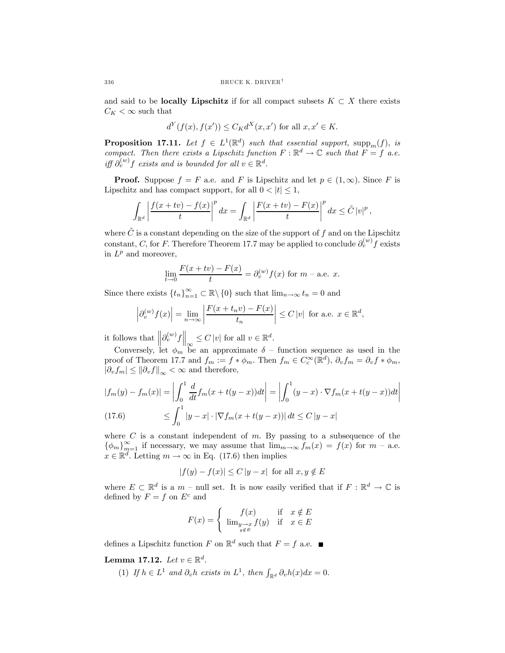and said to be **locally Lipschitz** if for all compact subsets  $K \subset X$  there exists  $C_K < \infty$  such that

$$
d^{Y}(f(x), f(x')) \leq C_{K}d^{X}(x, x')
$$
 for all  $x, x' \in K$ .

**Proposition 17.11.** Let  $f \in L^1(\mathbb{R}^d)$  such that essential support,  $\text{supp}_m(f)$ , is compact. Then there exists a Lipschitz function  $F : \mathbb{R}^d \to \mathbb{C}$  such that  $F = f$  a.e. iff  $\partial_{v}^{(w)}$  f exists and is bounded for all  $v \in \mathbb{R}^{d}$ .

**Proof.** Suppose  $f = F$  a.e. and F is Lipschitz and let  $p \in (1, \infty)$ . Since F is Lipschitz and has compact support, for all  $0 < |t| \leq 1$ ,

$$
\int_{\mathbb{R}^d} \left| \frac{f(x+tv) - f(x)}{t} \right|^p dx = \int_{\mathbb{R}^d} \left| \frac{F(x+tv) - F(x)}{t} \right|^p dx \le \tilde{C} \left| v \right|^p,
$$

where  $\tilde{C}$  is a constant depending on the size of the support of f and on the Lipschitz constant, C, for F. Therefore Theorem 17.7 may be applied to conclude  $\partial_{n}^{(w)} f$  exists in  $L^p$  and moreover,

$$
\lim_{t \to 0} \frac{F(x + tv) - F(x)}{t} = \partial_v^{(w)} f(x)
$$
 for  $m$  – a.e.  $x$ .

Since there exists  $\{t_n\}_{n=1}^{\infty} \subset \mathbb{R} \setminus \{0\}$  such that  $\lim_{n \to \infty} t_n = 0$  and

$$
\left|\partial_v^{(w)}f(x)\right| = \lim_{n \to \infty} \left|\frac{F(x + t_n v) - F(x)}{t_n}\right| \le C\left|v\right| \text{ for a.e. } x \in \mathbb{R}^d,
$$

it follows that  $\left\| \partial_v^{(w)} f \right\|_{\infty} \leq C |v|$  for all  $v \in \mathbb{R}^d$ .

Conversely, let  $\phi_m$  be an approximate  $\delta$  – function sequence as used in the proof of Theorem 17.7 and  $f_m := f * \phi_m$ . Then  $f_m \in C_c^{\infty}(\mathbb{R}^d)$ ,  $\partial_v f_m = \partial_v f * \phi_m$ ,  $|\partial_v f_m| \leq ||\partial_v f||_{\infty} < \infty$  and therefore,

$$
|f_m(y) - f_m(x)| = \left| \int_0^1 \frac{d}{dt} f_m(x + t(y - x)) dt \right| = \left| \int_0^1 (y - x) \cdot \nabla f_m(x + t(y - x)) dt \right|
$$
  
(17.6)  

$$
\leq \int_0^1 |y - x| \cdot |\nabla f_m(x + t(y - x))| dt \leq C |y - x|
$$

where  $C$  is a constant independent of  $m$ . By passing to a subsequence of the  $\{\phi_m\}_{m=1}^{\infty}$  if necessary, we may assume that  $\lim_{m\to\infty} f_m(x) = f(x)$  for  $m$  – a.e.  $x \in \mathbb{R}^d$ . Letting  $m \to \infty$  in Eq. (17.6) then implies

$$
|f(y) - f(x)| \le C |y - x| \text{ for all } x, y \notin E
$$

where  $E \subset \mathbb{R}^d$  is a  $m$  – null set. It is now easily verified that if  $F : \mathbb{R}^d \to \mathbb{C}$  is defined by  $F = f$  on  $E^c$  and

$$
F(x) = \begin{cases} f(x) & \text{if } x \notin E \\ \lim_{\substack{y \to x \\ y \notin E}} f(y) & \text{if } x \in E \end{cases}
$$

defines a Lipschitz function F on  $\mathbb{R}^d$  such that  $F = f$  a.e.

Lemma 17.12. Let  $v \in \mathbb{R}^d$ .

(1) If  $h \in L^1$  and  $\partial_v h$  exists in  $L^1$ , then  $\int_{\mathbb{R}^d} \partial_v h(x) dx = 0$ .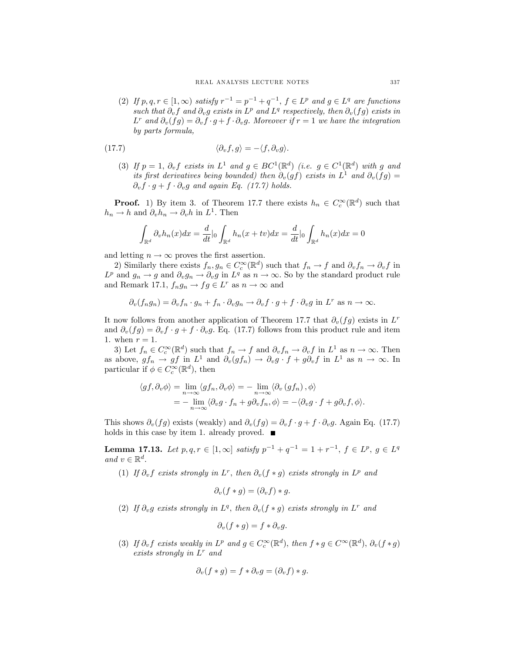(2) If p, q, r ∈ [1, ∞) satisfy  $r^{-1} = p^{-1} + q^{-1}$ ,  $f \in L^p$  and  $g \in L^q$  are functions such that  $\partial_v f$  and  $\partial_v g$  exists in  $L^p$  and  $L^q$  respectively, then  $\partial_v(fg)$  exists in  $L^r$  and  $\partial_v(fg) = \partial_v f \cdot g + f \cdot \partial_v g$ . Moreover if  $r = 1$  we have the integration by parts formula,

(17.7) 
$$
\langle \partial_v f, g \rangle = -\langle f, \partial_v g \rangle.
$$

(3) If  $p = 1$ ,  $\partial_v f$  exists in  $L^1$  and  $g \in BC^1(\mathbb{R}^d)$  (i.e.  $g \in C^1(\mathbb{R}^d)$  with g and its first derivatives being bounded) then  $\partial_v(gf)$  exists in  $L^1$  and  $\partial_v(fg)$  =  $\partial_v f \cdot g + f \cdot \partial_v g$  and again Eq. (17.7) holds.

**Proof.** 1) By item 3. of Theorem 17.7 there exists  $h_n \in C_c^{\infty}(\mathbb{R}^d)$  such that  $h_n \to h$  and  $\partial_v h_n \to \partial_v h$  in  $L^1$ . Then

$$
\int_{\mathbb{R}^d} \partial_v h_n(x) dx = \frac{d}{dt} \Big|_0 \int_{\mathbb{R}^d} h_n(x + tv) dx = \frac{d}{dt} \Big|_0 \int_{\mathbb{R}^d} h_n(x) dx = 0
$$

and letting  $n \to \infty$  proves the first assertion.

2) Similarly there exists  $f_n, g_n \in C_c^{\infty}(\mathbb{R}^d)$  such that  $f_n \to f$  and  $\partial_v f_n \to \partial_v f$  in  $L^p$  and  $g_n \to g$  and  $\partial_v g_n \to \partial_v g$  in  $L^q$  as  $n \to \infty$ . So by the standard product rule and Remark 17.1,  $f_n g_n \to fg \in L^r$  as  $n \to \infty$  and

$$
\partial_v(f_n g_n) = \partial_v f_n \cdot g_n + f_n \cdot \partial_v g_n \to \partial_v f \cdot g + f \cdot \partial_v g \text{ in } L^r \text{ as } n \to \infty.
$$

It now follows from another application of Theorem 17.7 that  $\partial_v(fg)$  exists in L<sup>r</sup> and  $\partial_v(fg) = \partial_v f \cdot g + f \cdot \partial_v g$ . Eq. (17.7) follows from this product rule and item 1. when  $r = 1$ .

3) Let  $f_n \in C_c^{\infty}(\mathbb{R}^d)$  such that  $f_n \to f$  and  $\partial_v f_n \to \partial_v f$  in  $L^1$  as  $n \to \infty$ . Then as above,  $gf_n \to gf$  in  $L^1$  and  $\partial_v(gf_n) \to \partial_v g \cdot f + g \partial_v f$  in  $L^1$  as  $n \to \infty$ . In particular if  $\phi \in C_c^{\infty}(\mathbb{R}^d)$ , then

$$
\langle gf, \partial_v \phi \rangle = \lim_{n \to \infty} \langle gf_n, \partial_v \phi \rangle = - \lim_{n \to \infty} \langle \partial_v (gf_n), \phi \rangle
$$
  
= 
$$
- \lim_{n \to \infty} \langle \partial_v g \cdot f_n + g \partial_v f_n, \phi \rangle = - \langle \partial_v g \cdot f + g \partial_v f, \phi \rangle.
$$

This shows  $\partial_v(fg)$  exists (weakly) and  $\partial_v(fg) = \partial_v f \cdot g + f \cdot \partial_v g$ . Again Eq. (17.7) holds in this case by item 1. already proved.  $\blacksquare$ 

**Lemma 17.13.** Let  $p, q, r \in [1, \infty]$  satisfy  $p^{-1} + q^{-1} = 1 + r^{-1}$ ,  $f \in L^p$ ,  $q \in L^q$ and  $v \in \mathbb{R}^d$ .

(1) If  $\partial_{\nu} f$  exists strongly in L<sup>r</sup>, then  $\partial_{\nu} (f * g)$  exists strongly in L<sup>p</sup> and

$$
\partial_v(f*g)=(\partial_v f)*g.
$$

(2) If  $\partial_v g$  exists strongly in  $L^q$ , then  $\partial_v (f * g)$  exists strongly in  $L^r$  and

$$
\partial_v(f*g)=f*\partial_v g.
$$

(3) If  $\partial_v f$  exists weakly in  $L^p$  and  $g \in C_c^{\infty}(\mathbb{R}^d)$ , then  $f * g \in C^{\infty}(\mathbb{R}^d)$ ,  $\partial_v (f * g)$ exists strongly in  $L^r$  and

$$
\partial_v(f*g) = f*\partial_v g = (\partial_v f)*g.
$$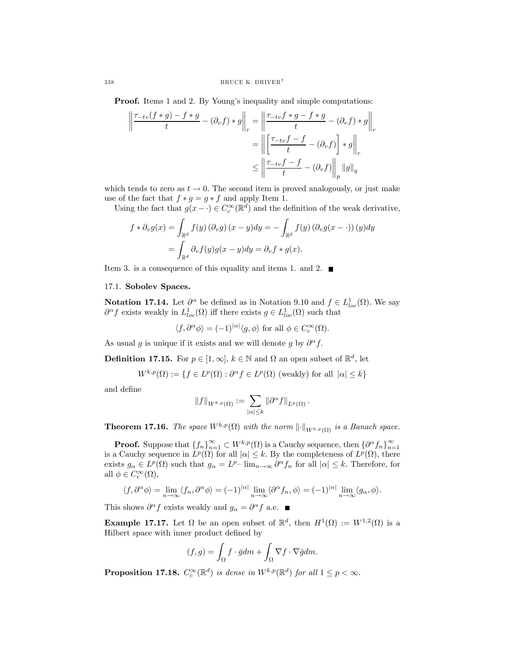**Proof.** Items 1 and 2. By Young's inequality and simple computations:

$$
\left\| \frac{\tau_{-tv}(f*g) - f*g}{t} - (\partial_v f) * g \right\|_r = \left\| \frac{\tau_{-tv}f*g - f*g}{t} - (\partial_v f) * g \right\|_r
$$

$$
= \left\| \left[ \frac{\tau_{-tv}f - f}{t} - (\partial_v f) \right] * g \right\|_r
$$

$$
\leq \left\| \frac{\tau_{-tv}f - f}{t} - (\partial_v f) \right\|_p \|g\|_q
$$

which tends to zero as  $t \to 0$ . The second item is proved analogously, or just make use of the fact that  $f * g = g * f$  and apply Item 1.

Using the fact that  $g(x - \cdot) \in C_c^{\infty}(\mathbb{R}^d)$  and the definition of the weak derivative,

$$
f * \partial_v g(x) = \int_{\mathbb{R}^d} f(y) (\partial_v g) (x - y) dy = - \int_{\mathbb{R}^d} f(y) (\partial_v g (x - \cdot)) (y) dy
$$
  
= 
$$
\int_{\mathbb{R}^d} \partial_v f(y) g(x - y) dy = \partial_v f * g(x).
$$

Item 3. is a consequence of this equality and items 1. and 2.  $\blacksquare$ 

## 17.1. Sobolev Spaces.

**Notation 17.14.** Let  $\partial^{\alpha}$  be defined as in Notation 9.10 and  $f \in L_{loc}^1(\Omega)$ . We say  $\partial^{\alpha} f$  exists weakly in  $L^1_{loc}(\Omega)$  iff there exists  $g \in L^1_{loc}(\Omega)$  such that

 $\langle f, \partial^{\alpha} \phi \rangle = (-1)^{|\alpha|} \langle g, \phi \rangle$  for all  $\phi \in C_c^{\infty}(\Omega)$ .

As usual g is unique if it exists and we will denote g by  $\partial^{\alpha} f$ .

**Definition 17.15.** For  $p \in [1,\infty], k \in \mathbb{N}$  and  $\Omega$  an open subset of  $\mathbb{R}^d$ , let

$$
W^{k,p}(\Omega) := \{ f \in L^p(\Omega) : \partial^{\alpha} f \in L^p(\Omega) \text{ (weakly) for all } |\alpha| \le k \}
$$

and define

$$
||f||_{W^{k,p}(\Omega)} := \sum_{|\alpha| \leq k} ||\partial^\alpha f||_{L^p(\Omega)}.
$$

**Theorem 17.16.** The space  $W^{k,p}(\Omega)$  with the norm  $\lVert \cdot \rVert_{W^{k,p}(\Omega)}$  is a Banach space.

**Proof.** Suppose that  $\{f_n\}_{n=1}^{\infty} \subset W^{k,p}(\Omega)$  is a Cauchy sequence, then  $\{\partial^{\alpha} f_n\}_{n=1}^{\infty}$ is a Cauchy sequence in  $L^p(\Omega)$  for all  $|\alpha| \leq k$ . By the completeness of  $L^p(\Omega)$ , there exists  $g_{\alpha} \in L^p(\Omega)$  such that  $g_{\alpha} = L^{p-1} \lim_{n \to \infty} \partial^{\alpha} f_n$  for all  $|\alpha| \leq k$ . Therefore, for all  $\phi \in C_c^{\infty}(\Omega)$ ,

$$
\langle f, \partial^{\alpha} \phi \rangle = \lim_{n \to \infty} \langle f_n, \partial^{\alpha} \phi \rangle = (-1)^{|\alpha|} \lim_{n \to \infty} \langle \partial^{\alpha} f_n, \phi \rangle = (-1)^{|\alpha|} \lim_{n \to \infty} \langle g_{\alpha}, \phi \rangle.
$$

This shows  $\partial^{\alpha} f$  exists weakly and  $g_{\alpha} = \partial^{\alpha} f$  a.e.

**Example 17.17.** Let  $\Omega$  be an open subset of  $\mathbb{R}^d$ , then  $H^1(\Omega) := W^{1,2}(\Omega)$  is a Hilbert space with inner product defined by

$$
(f,g) = \int_{\Omega} f \cdot \bar{g} dm + \int_{\Omega} \nabla f \cdot \nabla \bar{g} dm.
$$

**Proposition 17.18.**  $C_c^{\infty}(\mathbb{R}^d)$  is dense in  $W^{k,p}(\mathbb{R}^d)$  for all  $1 \leq p < \infty$ .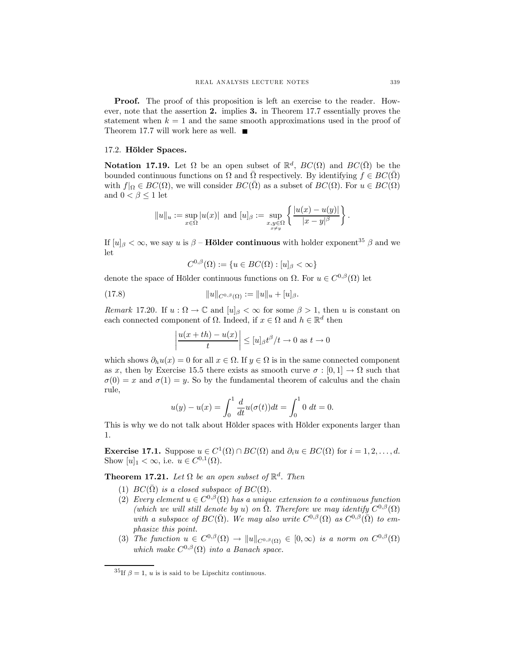**Proof.** The proof of this proposition is left an exercise to the reader. However, note that the assertion 2. implies 3. in Theorem 17.7 essentially proves the statement when  $k = 1$  and the same smooth approximations used in the proof of Theorem 17.7 will work here as well.  $\blacksquare$ 

## 17.2. Hölder Spaces.

**Notation 17.19.** Let  $\Omega$  be an open subset of  $\mathbb{R}^d$ ,  $BC(\Omega)$  and  $BC(\overline{\Omega})$  be the bounded continuous functions on  $\Omega$  and  $\overline{\Omega}$  respectively. By identifying  $f \in BC(\overline{\Omega})$ with  $f|_{\Omega} \in BC(\Omega)$ , we will consider  $BC(\overline{\Omega})$  as a subset of  $BC(\Omega)$ . For  $u \in BC(\Omega)$ and  $0 < \beta \leq 1$  let

$$
||u||_u:=\sup_{x\in\Omega}|u(x)|\ \ \text{and}\ [u]_\beta:=\sup_{\substack{x,y\in\Omega\\x\neq y}}\bigg\{\frac{|u(x)-u(y)|}{|x-y|^\beta}\bigg\}
$$

If  $[u]_\beta < \infty$ , we say u is  $\beta$  – **Hölder continuous** with holder exponent<sup>35</sup>  $\beta$  and we let

$$
C^{0,\beta}(\Omega) := \{ u \in BC(\Omega) : [u]_{\beta} < \infty \}
$$

denote the space of Hölder continuous functions on  $\Omega$ . For  $u \in C^{0,\beta}(\Omega)$  let

(17.8) 
$$
||u||_{C^{0,\beta}(\Omega)} := ||u||_u + [u]_{\beta}.
$$

Remark 17.20. If  $u : \Omega \to \mathbb{C}$  and  $[u]_{\beta} < \infty$  for some  $\beta > 1$ , then u is constant on each connected component of  $\Omega$ . Indeed, if  $x \in \Omega$  and  $h \in \mathbb{R}^d$  then

$$
\left|\frac{u(x+th)-u(x)}{t}\right| \leq [u]_{\beta}t^{\beta}/t \to 0 \text{ as } t \to 0
$$

which shows  $\partial_h u(x)=0$  for all  $x \in \Omega$ . If  $y \in \Omega$  is in the same connected component as x, then by Exercise 15.5 there exists as smooth curve  $\sigma : [0, 1] \to \Omega$  such that  $\sigma(0) = x$  and  $\sigma(1) = y$ . So by the fundamental theorem of calculus and the chain rule,

$$
u(y) - u(x) = \int_0^1 \frac{d}{dt} u(\sigma(t)) dt = \int_0^1 0 dt = 0.
$$

This is why we do not talk about Hölder spaces with Hölder exponents larger than 1.

Exercise 17.1. Suppose  $u \in C^1(\Omega) \cap BC(\Omega)$  and  $\partial_i u \in BC(\Omega)$  for  $i = 1, 2, ..., d$ . Show  $[u]_1 < \infty$ , i.e.  $u \in C^{0,1}(\Omega)$ .

**Theorem 17.21.** Let  $\Omega$  be an open subset of  $\mathbb{R}^d$ . Then

- (1)  $BC(\overline{\Omega})$  is a closed subspace of  $BC(\Omega)$ .
- (2) Every element  $u \in C^{0,\beta}(\Omega)$  has a unique extension to a continuous function (which we will still denote by u) on  $\bar{\Omega}$ . Therefore we may identify  $C^{0,\beta}(\Omega)$ with a subspace of  $BC(\bar{\Omega})$ . We may also write  $C^{0,\beta}(\Omega)$  as  $C^{0,\beta}(\bar{\Omega})$  to emphasize this point.
- (3) The function  $u \in C^{0,\beta}(\Omega) \to ||u||_{C^{0,\beta}(\Omega)} \in [0,\infty)$  is a norm on  $C^{0,\beta}(\Omega)$ which make  $C^{0,\beta}(\Omega)$  into a Banach space.

.

<sup>&</sup>lt;sup>35</sup>If  $\beta = 1$ , *u* is is said to be Lipschitz continuous.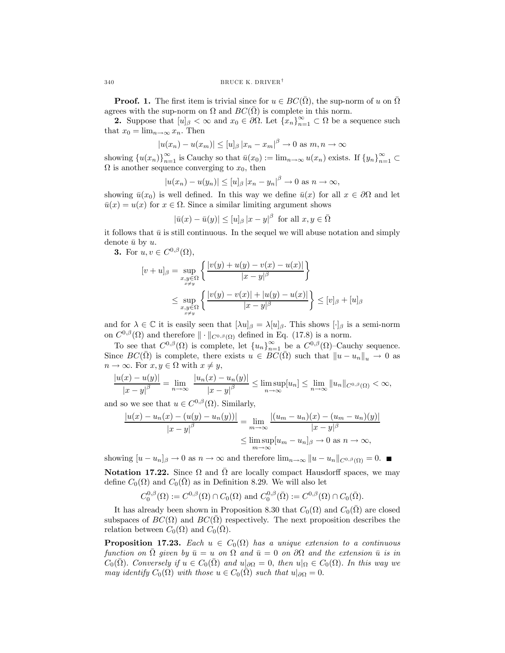**Proof.** 1. The first item is trivial since for  $u \in BC(\Omega)$ , the sup-norm of u on  $\Omega$ agrees with the sup-norm on  $\Omega$  and  $BC(\Omega)$  is complete in this norm.

**2.** Suppose that  $[u]_{\beta} < \infty$  and  $x_0 \in \partial \Omega$ . Let  $\{x_n\}_{n=1}^{\infty} \subset \Omega$  be a sequence such that  $x_0 = \lim_{n \to \infty} x_n$ . Then

$$
|u(x_n) - u(x_m)| \le [u]_\beta |x_n - x_m|^\beta \to 0 \text{ as } m, n \to \infty
$$

showing  ${u(x_n)}_{n=1}^{\infty}$  is Cauchy so that  $\bar{u}(x_0) := \lim_{n \to \infty} u(x_n)$  exists. If  ${y_n}_{n=1}^{\infty} \subset$  $\Omega$  is another sequence converging to  $x_0$ , then

$$
|u(x_n) - u(y_n)| \le [u]_\beta |x_n - y_n|^\beta \to 0 \text{ as } n \to \infty,
$$

showing  $\bar{u}(x_0)$  is well defined. In this way we define  $\bar{u}(x)$  for all  $x \in \partial\Omega$  and let  $\bar{u}(x) = u(x)$  for  $x \in \Omega$ . Since a similar limiting argument shows

$$
|\bar{u}(x) - \bar{u}(y)| \le [u]_{\beta} |x - y|^{\beta} \text{ for all } x, y \in \overline{\Omega}
$$

it follows that  $\bar{u}$  is still continuous. In the sequel we will abuse notation and simply denote  $\bar{u}$  by u.

3. For  $u, v \in C^{0,\beta}(\Omega)$ ,

$$
[v+u]_{\beta} = \sup_{\substack{x,y \in \Omega \\ x \neq y}} \left\{ \frac{|v(y) + u(y) - v(x) - u(x)|}{|x - y|^{\beta}} \right\}
$$
  

$$
\leq \sup_{\substack{x,y \in \Omega \\ x \neq y}} \left\{ \frac{|v(y) - v(x)| + |u(y) - u(x)|}{|x - y|^{\beta}} \right\} \leq [v]_{\beta} + [u]_{\beta}
$$

and for  $\lambda \in \mathbb{C}$  it is easily seen that  $[\lambda u]_{\beta} = \lambda [u]_{\beta}$ . This shows  $[\cdot]_{\beta}$  is a semi-norm on  $C^{0,\beta}(\Omega)$  and therefore  $\|\cdot\|_{C^{0,\beta}(\Omega)}$  defined in Eq. (17.8) is a norm.

To see that  $C^{0,\beta}(\Omega)$  is complete, let  ${u_n}_{n=1}^{\infty}$  be a  $C^{0,\beta}(\Omega)$ -Cauchy sequence. Since  $BC(\overline{\Omega})$  is complete, there exists  $u \in BC(\overline{\Omega})$  such that  $||u - u_n||_u \to 0$  as  $n \to \infty$ . For  $x, y \in \Omega$  with  $x \neq y$ ,

$$
\frac{|u(x)-u(y)|}{|x-y|^\beta} = \lim_{n \to \infty} \frac{|u_n(x)-u_n(y)|}{|x-y|^\beta} \le \limsup_{n \to \infty} [u_n] \le \lim_{n \to \infty} ||u_n||_{C^{0,\beta}(\Omega)} < \infty,
$$

and so we see that  $u \in C^{0,\beta}(\Omega)$ . Similarly,

$$
\frac{|u(x) - u_n(x) - (u(y) - u_n(y))|}{|x - y|^\beta} = \lim_{m \to \infty} \frac{|(u_m - u_n)(x) - (u_m - u_n)(y)|}{|x - y|^\beta}
$$

$$
\leq \limsup_{m \to \infty} [u_m - u_n]_\beta \to 0 \text{ as } n \to \infty,
$$

showing  $[u - u_n]_\beta \to 0$  as  $n \to \infty$  and therefore  $\lim_{n \to \infty} ||u - u_n||_{C^{0,\beta}(\Omega)} = 0$ .

**Notation 17.22.** Since  $\Omega$  and  $\overline{\Omega}$  are locally compact Hausdorff spaces, we may define  $C_0(\Omega)$  and  $C_0(\overline{\Omega})$  as in Definition 8.29. We will also let

$$
C_0^{0,\beta}(\Omega) := C^{0,\beta}(\Omega) \cap C_0(\Omega) \text{ and } C_0^{0,\beta}(\overline{\Omega}) := C^{0,\beta}(\Omega) \cap C_0(\overline{\Omega}).
$$

It has already been shown in Proposition 8.30 that  $C_0(\Omega)$  and  $C_0(\Omega)$  are closed subspaces of  $BC(\Omega)$  and  $BC(\Omega)$  respectively. The next proposition describes the relation between  $C_0(\Omega)$  and  $C_0(\overline{\Omega})$ .

**Proposition 17.23.** Each  $u \in C_0(\Omega)$  has a unique extension to a continuous function on  $\overline{\Omega}$  given by  $\overline{u} = u$  on  $\Omega$  and  $\overline{u} = 0$  on  $\partial\Omega$  and the extension  $\overline{u}$  is in  $C_0(\overline{\Omega})$ . Conversely if  $u \in C_0(\overline{\Omega})$  and  $u|_{\partial\Omega} = 0$ , then  $u|_{\Omega} \in C_0(\Omega)$ . In this way we may identify  $C_0(\Omega)$  with those  $u \in C_0(\overline{\Omega})$  such that  $u|_{\partial\Omega} = 0$ .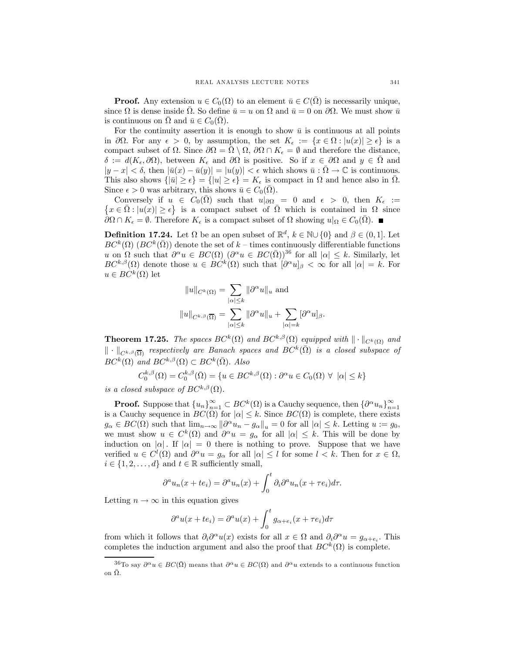**Proof.** Any extension  $u \in C_0(\Omega)$  to an element  $\bar{u} \in C(\Omega)$  is necessarily unique, since  $\Omega$  is dense inside  $\Omega$ . So define  $\bar{u} = u$  on  $\Omega$  and  $\bar{u} = 0$  on  $\partial\Omega$ . We must show  $\bar{u}$ is continuous on  $\Omega$  and  $\bar{u} \in C_0(\Omega)$ .

For the continuity assertion it is enough to show  $\bar{u}$  is continuous at all points in  $\partial\Omega$ . For any  $\epsilon > 0$ , by assumption, the set  $K_{\epsilon} := \{x \in \Omega : |u(x)| \geq \epsilon\}$  is a compact subset of  $\Omega$ . Since  $\partial\Omega = \overline{\Omega} \setminus \Omega$ ,  $\partial\Omega \cap K_{\epsilon} = \emptyset$  and therefore the distance,  $\delta := d(K_{\epsilon}, \partial \Omega)$ , between  $K_{\epsilon}$  and  $\partial \Omega$  is positive. So if  $x \in \partial \Omega$  and  $y \in \overline{\Omega}$  and  $|y - x| < \delta$ , then  $|\bar{u}(x) - \bar{u}(y)| = |u(y)| < \epsilon$  which shows  $\bar{u}: \Omega \to \mathbb{C}$  is continuous. This also shows  $\{|\bar{u}|\geq \epsilon\} = \{|u|\geq \epsilon\} = K_{\epsilon}$  is compact in  $\Omega$  and hence also in  $\Omega$ . Since  $\epsilon > 0$  was arbitrary, this shows  $\bar{u} \in C_0(\bar{\Omega})$ .

Conversely if  $u \in C_0(\overline{\Omega})$  such that  $u|_{\partial\Omega} = 0$  and  $\epsilon > 0$ , then  $K_{\epsilon} := \{x \in \overline{\Omega} : |u(x)| > \epsilon\}$  is a compact subset of  $\overline{\Omega}$  which is contained in  $\Omega$  since  $x \in \overline{\Omega} : |u(x)| \ge \epsilon$  is a compact subset of  $\overline{\Omega}$  which is contained in  $\Omega$  since  $\partial\Omega \cap K_{\epsilon} = \emptyset$ . Therefore  $K_{\epsilon}$  is a compact subset of  $\Omega$  showing  $u|_{\Omega} \in C_0(\overline{\Omega})$ .

**Definition 17.24.** Let  $\Omega$  be an open subset of  $\mathbb{R}^d$ ,  $k \in \mathbb{N} \cup \{0\}$  and  $\beta \in (0, 1]$ . Let  $BC^k(\Omega)$  ( $BC^k(\overline{\Omega})$ ) denote the set of k – times continuously differentiable functions u on  $\Omega$  such that  $\partial^{\alpha}u \in BC(\Omega)$   $(\partial^{\alpha}u \in BC(\overline{\Omega}))^{36}$  for all  $|\alpha| \leq k$ . Similarly, let  $BC^{k,\beta}(\Omega)$  denote those  $u \in BC^k(\Omega)$  such that  $[\partial^\alpha u]_\beta < \infty$  for all  $|\alpha| = k$ . For  $u \in BC^k(\Omega)$  let

$$
||u||_{C^k(\Omega)} = \sum_{|\alpha| \le k} ||\partial^{\alpha} u||_u \text{ and}
$$

$$
||u||_{C^{k,\beta}(\overline{\Omega})} = \sum_{|\alpha| \le k} ||\partial^{\alpha} u||_u + \sum_{|\alpha|=k} [\partial^{\alpha} u]_{\beta}.
$$

**Theorem 17.25.** The spaces  $BC^k(\Omega)$  and  $BC^{k,\beta}(\Omega)$  equipped with  $\|\cdot\|_{C^k(\Omega)}$  and  $\|\cdot\|_{C^{k,\beta}(\overline{\Omega})}$  respectively are Banach spaces and  $BC^k(\overline{\Omega})$  is a closed subspace of  $BC^{k}(\Omega)$  and  $BC^{k,\beta}(\Omega) \subset BC^{k}(\overline{\Omega})$ . Also

$$
C_0^{k,\beta}(\Omega) = C_0^{k,\beta}(\overline{\Omega}) = \{ u \in BC^{k,\beta}(\Omega) : \partial^{\alpha} u \in C_0(\Omega) \ \forall \ |\alpha| \le k \}
$$

is a closed subspace of  $BC^{k,\beta}(\Omega)$ .

**Proof.** Suppose that  ${u_n}_{n=1}^{\infty} \subset BC^k(\Omega)$  is a Cauchy sequence, then  ${\partial^{\alpha} u_n}_{n=1}^{\infty}$  is a Cauchy sequence in  $BC(\Omega)$  for  $|\alpha| \leq k$ . Since  $BC(\Omega)$  is complete, there exists  $g_{\alpha} \in BC(\Omega)$  such that  $\lim_{n \to \infty} ||\partial^{\alpha} u_n - g_{\alpha}||_u = 0$  for all  $|\alpha| \leq k$ . Letting  $u := g_0$ , we must show  $u \in C^k(\Omega)$  and  $\partial^{\alpha} u = g_{\alpha}$  for all  $|\alpha| \leq k$ . This will be done by induction on  $|\alpha|$ . If  $|\alpha| = 0$  there is nothing to prove. Suppose that we have verified  $u \in C^l(\Omega)$  and  $\partial^\alpha u = g_\alpha$  for all  $|\alpha| \leq l$  for some  $l < k$ . Then for  $x \in \Omega$ ,  $i \in \{1, 2, \ldots, d\}$  and  $t \in \mathbb{R}$  sufficiently small,

$$
\partial^a u_n(x+te_i) = \partial^a u_n(x) + \int_0^t \partial_i \partial^a u_n(x+\tau e_i) d\tau.
$$

Letting  $n \to \infty$  in this equation gives

$$
\partial^a u(x+te_i) = \partial^a u(x) + \int_0^t g_{\alpha+e_i}(x+\tau e_i) d\tau
$$

from which it follows that  $\partial_i \partial^\alpha u(x)$  exists for all  $x \in \Omega$  and  $\partial_i \partial^\alpha u = g_{\alpha + e_i}$ . This completes the induction argument and also the proof that  $BC^k(\Omega)$  is complete.

<sup>&</sup>lt;sup>36</sup>To say  $\partial^{\alpha}u \in BC(\overline{\Omega})$  means that  $\partial^{\alpha}u \in BC(\Omega)$  and  $\partial^{\alpha}u$  extends to a continuous function on  $\bar{\Omega}$ .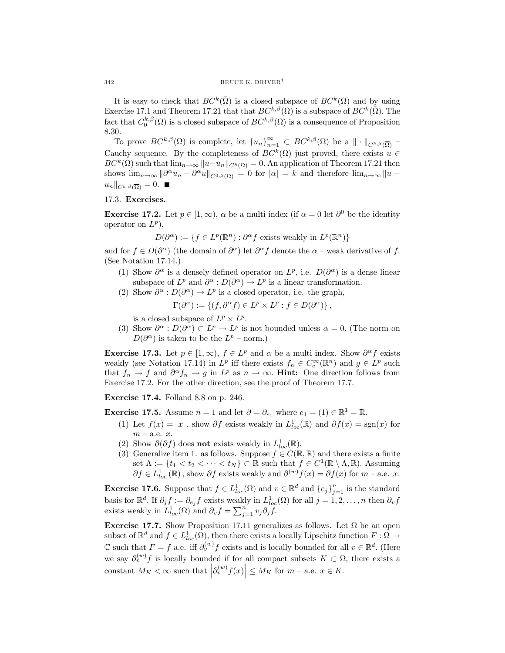It is easy to check that  $BC^k(\overline{\Omega})$  is a closed subspace of  $BC^k(\Omega)$  and by using Exercise 17.1 and Theorem 17.21 that that  $BC^{k,\beta}(\Omega)$  is a subspace of  $BC^k(\overline{\Omega})$ . The fact that  $C_0^{k,\beta}(\Omega)$  is a closed subspace of  $BC^{k,\beta}(\Omega)$  is a consequence of Proposition 8.30.

To prove  $BC^{k,\beta}(\Omega)$  is complete, let  ${u_n}_{n=1}^{\infty} \subset BC^{k,\beta}(\Omega)$  be a  $\|\cdot\|_{C^{k,\beta}(\overline{\Omega})}$  -Cauchy sequence. By the completeness of  $BC^k(\Omega)$  just proved, there exists  $u \in$  $BC^{k}(\Omega)$  such that  $\lim_{n\to\infty}||u-u_n||_{C^{k}(\Omega)}=0$ . An application of Theorem 17.21 then shows  $\lim_{n\to\infty} ||\partial^{\alpha}u_n - \partial^{\alpha}u||_{C^{0,\beta}(\Omega)} = 0$  for  $|\alpha| = k$  and therefore  $\lim_{n\to\infty} ||u - \alpha||$  $u_n\|_{C^{k,\beta}(\overline{\Omega})} = 0.$ 

## 17.3. Exercises.

**Exercise 17.2.** Let  $p \in [1,\infty)$ ,  $\alpha$  be a multi index (if  $\alpha = 0$  let  $\partial^0$  be the identity operator on  $L^p$ ),

 $D(\partial^{\alpha}) := \{f \in L^p(\mathbb{R}^n) : \partial^{\alpha} f \text{ exists weakly in } L^p(\mathbb{R}^n)\}\$ 

and for  $f \in D(\partial^{\alpha})$  (the domain of  $\partial^{\alpha}$ ) let  $\partial^{\alpha} f$  denote the  $\alpha$  – weak derivative of f. (See Notation 17.14.)

- (1) Show  $\partial^{\alpha}$  is a densely defined operator on  $L^{p}$ , i.e.  $D(\partial^{\alpha})$  is a dense linear subspace of  $L^p$  and  $\partial^{\alpha}: D(\partial^{\alpha}) \to L^p$  is a linear transformation.
- (2) Show  $\partial^{\alpha}: D(\partial^{\alpha}) \to L^{p}$  is a closed operator, i.e. the graph,

$$
\Gamma(\partial^{\alpha}) := \{ (f, \partial^{\alpha} f) \in L^p \times L^p : f \in D(\partial^{\alpha}) \},
$$

is a closed subspace of  $L^p \times L^p$ .

(3) Show  $\partial^{\alpha}: D(\partial^{\alpha}) \subset L^p \to L^p$  is not bounded unless  $\alpha = 0$ . (The norm on  $D(\partial^{\alpha})$  is taken to be the  $L^{p}$  – norm.)

**Exercise 17.3.** Let  $p \in [1,\infty)$ ,  $f \in L^p$  and  $\alpha$  be a multi index. Show  $\partial^{\alpha} f$  exists weakly (see Notation 17.14) in  $L^p$  iff there exists  $f_n \in C_c^{\infty}(\mathbb{R}^n)$  and  $g \in L^p$  such that  $f_n \to f$  and  $\partial^{\alpha} f_n \to g$  in  $L^p$  as  $n \to \infty$ . **Hint:** One direction follows from Exercise 17.2. For the other direction, see the proof of Theorem 17.7.

Exercise 17.4. Folland 8.8 on p. 246.

**Exercise 17.5.** Assume  $n = 1$  and let  $\partial = \partial_{e_1}$  where  $e_1 = (1) \in \mathbb{R}^1 = \mathbb{R}$ .

- (1) Let  $f(x) = |x|$ , show  $\partial f$  exists weakly in  $L^1_{loc}(\mathbb{R})$  and  $\partial f(x) = \text{sgn}(x)$  for  $m - a.e. x.$
- (2) Show  $\partial(\partial f)$  does **not** exists weakly in  $L^1_{loc}(\mathbb{R})$ .
- (3) Generalize item 1. as follows. Suppose  $f \in C(\mathbb{R}, \mathbb{R})$  and there exists a finite set  $\Lambda := \{t_1 < t_2 < \cdots < t_N\} \subset \mathbb{R}$  such that  $f \in C^1(\mathbb{R} \setminus \Lambda, \mathbb{R})$ . Assuming  $\partial f \in L^1_{loc}(\mathbb{R})$ , show  $\partial f$  exists weakly and  $\partial^{(w)} f(x) = \partial f(x)$  for  $m$  – a.e. x.

**Exercise 17.6.** Suppose that  $f \in L^1_{loc}(\Omega)$  and  $v \in \mathbb{R}^d$  and  $\{e_j\}_{j=1}^n$  is the standard basis for  $\mathbb{R}^d$ . If  $\partial_j f := \partial_{e_j} f$  exists weakly in  $L^1_{loc}(\Omega)$  for all  $j = 1, 2, \ldots, n$  then  $\partial_v f$ exists weakly in  $L^1_{loc}(\Omega)$  and  $\partial_v f = \sum_{j=1}^n v_j \partial_j \widetilde{f}$ .

Exercise 17.7. Show Proposition 17.11 generalizes as follows. Let  $\Omega$  be an open subset of  $\mathbb{R}^d$  and  $f \in L^1_{loc}(\Omega)$ , then there exists a locally Lipschitz function  $F : \Omega \to$  $\mathbb C$  such that  $F = f$  a.e. iff  $\partial_v^{(w)} f$  exists and is locally bounded for all  $v \in \mathbb R^d$ . (Here we say  $\partial_v^{(w)} f$  is locally bounded if for all compact subsets  $K \subset \Omega$ , there exists a constant  $M_K < \infty$  such that  $\left|\partial_v^{(w)} f(x)\right| \le M_K$  for  $m$  – a.e.  $x \in K$ .